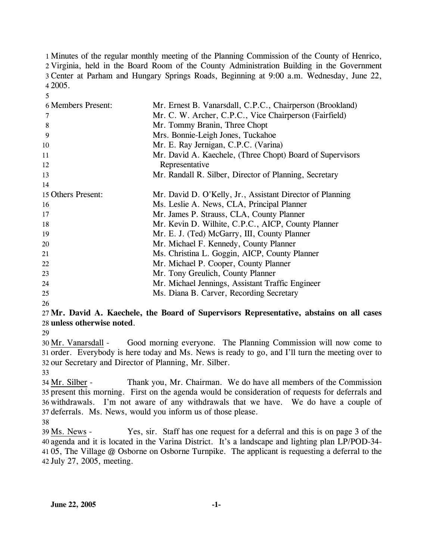Minutes of the regular monthly meeting of the Planning Commission of the County of Henrico, Virginia, held in the Board Room of the County Administration Building in the Government Center at Parham and Hungary Springs Roads, Beginning at 9:00 a.m. Wednesday, June 22, 4 2005.

| <b>6 Members Present:</b> | Mr. Ernest B. Vanarsdall, C.P.C., Chairperson (Brookland) |
|---------------------------|-----------------------------------------------------------|
| 7                         | Mr. C. W. Archer, C.P.C., Vice Chairperson (Fairfield)    |
| 8                         | Mr. Tommy Branin, Three Chopt                             |
| 9                         | Mrs. Bonnie-Leigh Jones, Tuckahoe                         |
| 10                        | Mr. E. Ray Jernigan, C.P.C. (Varina)                      |
| 11                        | Mr. David A. Kaechele, (Three Chopt) Board of Supervisors |
| 12                        | Representative                                            |
| 13                        | Mr. Randall R. Silber, Director of Planning, Secretary    |
| 14                        |                                                           |
| 15 Others Present:        | Mr. David D. O'Kelly, Jr., Assistant Director of Planning |
| 16                        | Ms. Leslie A. News, CLA, Principal Planner                |
| 17                        | Mr. James P. Strauss, CLA, County Planner                 |
| 18                        | Mr. Kevin D. Wilhite, C.P.C., AICP, County Planner        |
| 19                        | Mr. E. J. (Ted) McGarry, III, County Planner              |
| 20                        | Mr. Michael F. Kennedy, County Planner                    |
| 21                        | Ms. Christina L. Goggin, AICP, County Planner             |
| 22                        | Mr. Michael P. Cooper, County Planner                     |
| 23                        | Mr. Tony Greulich, County Planner                         |
| 24                        | Mr. Michael Jennings, Assistant Traffic Engineer          |
| 25                        | Ms. Diana B. Carver, Recording Secretary                  |

26

5

#### 27 **Mr. David A. Kaechele, the Board of Supervisors Representative, abstains on all cases**  28 **unless otherwise noted**.

29

Good morning everyone. The Planning Commission will now come to 31 order. Everybody is here today and Ms. News is ready to go, and I'll turn the meeting over to 32 our Secretary and Director of Planning, Mr. Silber. 30 Mr. Vanarsdall -

33

Thank you, Mr. Chairman. We do have all members of the Commission 35 present this morning. First on the agenda would be consideration of requests for deferrals and 36 withdrawals. I'm not aware of any withdrawals that we have. We do have a couple of 37 deferrals. Ms. News, would you inform us of those please. 34 Mr. Silber -

38

Yes, sir. Staff has one request for a deferral and this is on page 3 of the agenda and it is located in the Varina District. It's a landscape and lighting plan LP/POD-34- 40 41 05, The Village @ Osborne on Osborne Turnpike. The applicant is requesting a deferral to the 42 July 27, 2005, meeting. 39 Ms. News -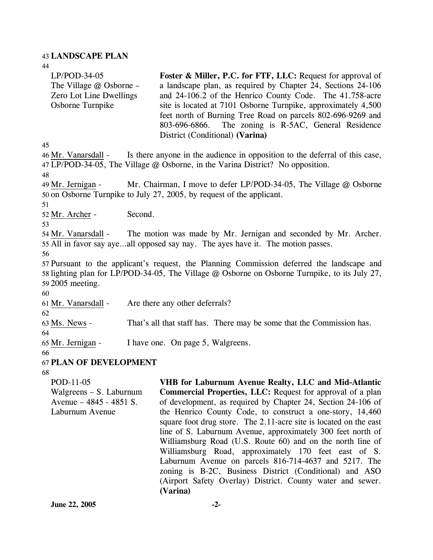#### 43 **LANDSCAPE PLAN**

44 45 LP/POD-34-05 The Village @ Osborne – Zero Lot Line Dwellings Osborne Turnpike **Foster & Miller, P.C. for FTF, LLC:** Request for approval of a landscape plan, as required by Chapter 24, Sections 24-106 and 24-106.2 of the Henrico County Code. The 41.758-acre site is located at 7101 Osborne Turnpike, approximately 4,500 feet north of Burning Tree Road on parcels 802-696-9269 and 803-696-6866. The zoning is R-5AC, General Residence District (Conditional) **(Varina)**  Is there anyone in the audience in opposition to the deferral of this case, LP/POD-34-05, The Village @ Osborne, in the Varina District? No opposition. 47 46 Mr. Vanarsdall -48 Mr. Chairman, I move to defer LP/POD-34-05, The Village  $@$  Osborne 50 on Osborne Turnpike to July 27, 2005, by request of the applicant. 49 Mr. Jernigan -51 52 Mr. Archer - Second. 53 The motion was made by Mr. Jernigan and seconded by Mr. Archer. 55 All in favor say aye...all opposed say nay. The ayes have it. The motion passes. 54 Mr. Vanarsdall -56 57 Pursuant to the applicant's request, the Planning Commission deferred the landscape and 58 lighting plan for LP/POD-34-05, The Village @ Osborne on Osborne Turnpike, to its July 27, 59 2005 meeting. 60 61 Mr. Vanarsdall - Are there any other deferrals? 62 63 Ms. News - That's all that staff has. There may be some that the Commission has. 64 65 Mr. Jernigan - I have one. On page 5, Walgreens. 66 67 **PLAN OF DEVELOPMENT**  68 POD-11-05 **VHB for Laburnum Avenue Realty, LLC and Mid-Atlantic** 

Walgreens – S. Laburnum Avenue – 4845 - 4851 S. Laburnum Avenue **Commercial Properties, LLC:** Request for approval of a plan of development, as required by Chapter 24, Section 24-106 of the Henrico County Code, to construct a one-story, 14,460 square foot drug store. The 2.11-acre site is located on the east line of S. Laburnum Avenue, approximately 300 feet north of Williamsburg Road (U.S. Route 60) and on the north line of Williamsburg Road, approximately 170 feet east of S. Laburnum Avenue on parcels 816-714-4637 and 5217. The zoning is B-2C, Business District (Conditional) and ASO (Airport Safety Overlay) District. County water and sewer. **(Varina)**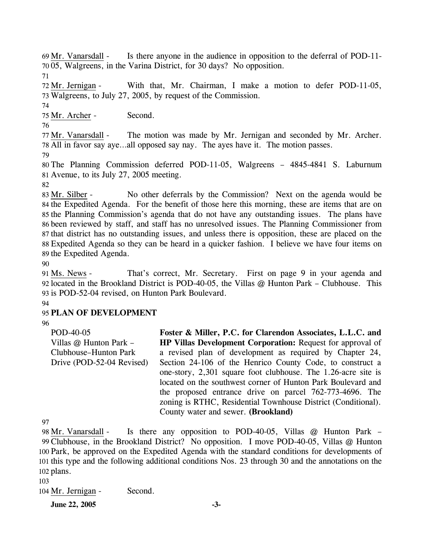Is there anyone in the audience in opposition to the deferral of POD-11-05, Walgreens, in the Varina District, for 30 days? No opposition. 70 69 Mr. Vanarsdall -

71

With that, Mr. Chairman, I make a motion to defer POD-11-05, Walgreens, to July 27, 2005, by request of the Commission. 73 72 Mr. Jernigan -

74

75 Mr. Archer - Second.

76

The motion was made by Mr. Jernigan and seconded by Mr. Archer. All in favor say aye…all opposed say nay. The ayes have it. The motion passes. 78 77 Mr. Vanarsdall -

79

80 The Planning Commission deferred POD-11-05, Walgreens – 4845-4841 S. Laburnum 81 Avenue, to its July 27, 2005 meeting.

82

No other deferrals by the Commission? Next on the agenda would be 84 the Expedited Agenda. For the benefit of those here this morning, these are items that are on 85 the Planning Commission's agenda that do not have any outstanding issues. The plans have 86 been reviewed by staff, and staff has no unresolved issues. The Planning Commissioner from 87 that district has no outstanding issues, and unless there is opposition, these are placed on the Expedited Agenda so they can be heard in a quicker fashion. I believe we have four items on 88 89 the Expedited Agenda. 83 Mr. Silber -

90

That's correct, Mr. Secretary. First on page 9 in your agenda and 92 located in the Brookland District is POD-40-05, the Villas @ Hunton Park – Clubhouse. This 93 is POD-52-04 revised, on Hunton Park Boulevard. 91 Ms. News -94

# 95 **PLAN OF DEVELOPMENT**

96

POD-40-05 Villas @ Hunton Park – Clubhouse–Hunton Park Drive (POD-52-04 Revised) **Foster & Miller, P.C. for Clarendon Associates, L.L.C. and HP Villas Development Corporation:** Request for approval of a revised plan of development as required by Chapter 24, Section 24-106 of the Henrico County Code, to construct a one-story, 2,301 square foot clubhouse. The 1.26-acre site is located on the southwest corner of Hunton Park Boulevard and the proposed entrance drive on parcel 762-773-4696. The zoning is RTHC, Residential Townhouse District (Conditional). County water and sewer. **(Brookland)** 

97

Is there any opposition to POD-40-05, Villas  $@$  Hunton Park – Clubhouse, in the Brookland District? No opposition. I move POD-40-05, Villas @ Hunton 99 100 Park, be approved on the Expedited Agenda with the standard conditions for developments of 101 this type and the following additional conditions Nos. 23 through 30 and the annotations on the 102 plans. 98 Mr. Vanarsdall -

103

104 Mr. Jernigan - Second.

**June 22, 2005** -3-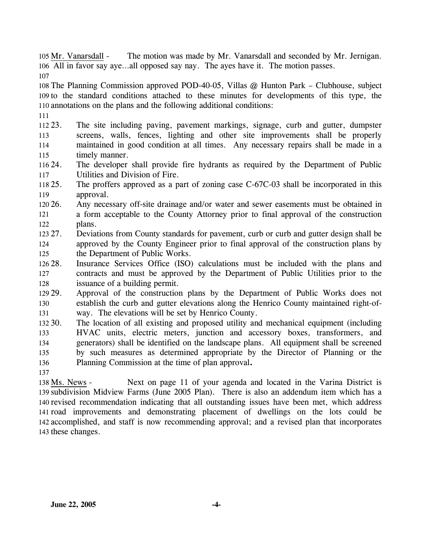The motion was made by Mr. Vanarsdall and seconded by Mr. Jernigan. All in favor say aye…all opposed say nay. The ayes have it. The motion passes. 106 105 Mr. Vanarsdall -

107

108 The Planning Commission approved POD-40-05, Villas @ Hunton Park – Clubhouse, subject 109 to the standard conditions attached to these minutes for developments of this type, the 110 annotations on the plans and the following additional conditions:

111

112 23. 113 114 115 The site including paving, pavement markings, signage, curb and gutter, dumpster screens, walls, fences, lighting and other site improvements shall be properly maintained in good condition at all times. Any necessary repairs shall be made in a timely manner.

- 116 24. 117 The developer shall provide fire hydrants as required by the Department of Public Utilities and Division of Fire.
- $11825.$ 119 The proffers approved as a part of zoning case C-67C-03 shall be incorporated in this approval.
- $120\,26$ . 121 122 26. Any necessary off-site drainage and/or water and sewer easements must be obtained in a form acceptable to the County Attorney prior to final approval of the construction plans.
- 123 27. 124 125 27. Deviations from County standards for pavement, curb or curb and gutter design shall be approved by the County Engineer prior to final approval of the construction plans by the Department of Public Works.
- 126 28. 127 128 Insurance Services Office (ISO) calculations must be included with the plans and contracts and must be approved by the Department of Public Utilities prior to the issuance of a building permit.

129 29. 130 131 Approval of the construction plans by the Department of Public Works does not establish the curb and gutter elevations along the Henrico County maintained right-ofway. The elevations will be set by Henrico County.

132 30. 133 134 135 136 137 The location of all existing and proposed utility and mechanical equipment (including HVAC units, electric meters, junction and accessory boxes, transformers, and generators) shall be identified on the landscape plans. All equipment shall be screened by such measures as determined appropriate by the Director of Planning or the Planning Commission at the time of plan approval**.**

Next on page 11 of your agenda and located in the Varina District is 139 subdivision Midview Farms (June 2005 Plan). There is also an addendum item which has a 140 revised recommendation indicating that all outstanding issues have been met, which address 141 road improvements and demonstrating placement of dwellings on the lots could be 142 accomplished, and staff is now recommending approval; and a revised plan that incorporates 143 these changes. 138 Ms. News -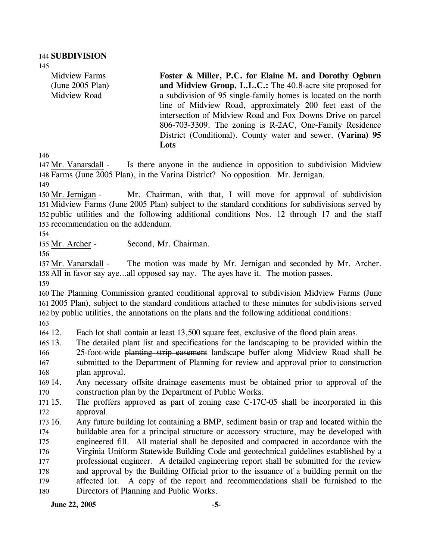Midview Farms (June 2005 Plan) Midview Road

**Foster & Miller, P.C. for Elaine M. and Dorothy Ogburn and Midview Group, L.L.C.:** The 40.8-acre site proposed for a subdivision of 95 single-family homes is located on the north line of Midview Road, approximately 200 feet east of the intersection of Midview Road and Fox Downs Drive on parcel 806-703-3309. The zoning is R-2AC, One-Family Residence District (Conditional). County water and sewer. **(Varina) 95 Lots** 

146

Is there anyone in the audience in opposition to subdivision Midview Farms (June 2005 Plan), in the Varina District? No opposition. Mr. Jernigan. 148 147 Mr. Vanarsdall -

149

Mr. Chairman, with that, I will move for approval of subdivision 151 Midview Farms (June 2005 Plan) subject to the standard conditions for subdivisions served by 152 public utilities and the following additional conditions Nos. 12 through 17 and the staff 153 recommendation on the addendum. 150 Mr. Jernigan -

154

155 Mr. Archer - Second, Mr. Chairman.

156

The motion was made by Mr. Jernigan and seconded by Mr. Archer. 158 All in favor say aye...all opposed say nay. The ayes have it. The motion passes. 157 Mr. Vanarsdall -

159

160 The Planning Commission granted conditional approval to subdivision Midview Farms (June 161 2005 Plan), subject to the standard conditions attached to these minutes for subdivisions served 162 by public utilities, the annotations on the plans and the following additional conditions:

163

164 12. Each lot shall contain at least 13,500 square feet, exclusive of the flood plain areas.

- $16513.$ 13. The detailed plant list and specifications for the landscaping to be provided within the 25-foot-wide planting strip easement landscape buffer along Midview Road shall be submitted to the Department of Planning for review and approval prior to construction plan approval. 166 167 168
- 169 14. 170 14. Any necessary offsite drainage easements must be obtained prior to approval of the construction plan by the Department of Public Works.

 $171, 15.$ 172 The proffers approved as part of zoning case C-17C-05 shall be incorporated in this approval.

 $173, 16$ . 174 175 176 177 178 179 180 16. Any future building lot containing a BMP, sediment basin or trap and located within the buildable area for a principal structure or accessory structure, may be developed with engineered fill. All material shall be deposited and compacted in accordance with the Virginia Uniform Statewide Building Code and geotechnical guidelines established by a professional engineer. A detailed engineering report shall be submitted for the review and approval by the Building Official prior to the issuance of a building permit on the affected lot. A copy of the report and recommendations shall be furnished to the Directors of Planning and Public Works.

**June 22, 2005** -5-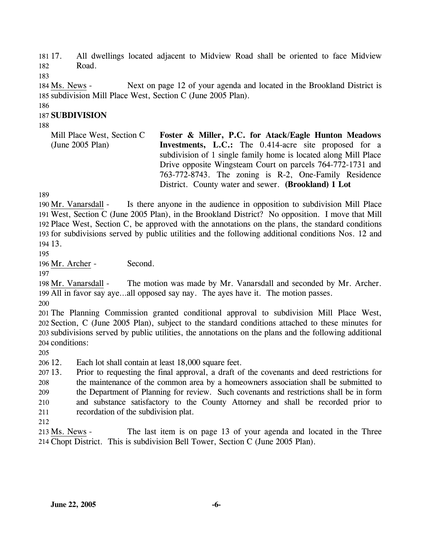181 17. 182 17. All dwellings located adjacent to Midview Road shall be oriented to face Midview Road.

183

Next on page 12 of your agenda and located in the Brookland District is 185 subdivision Mill Place West, Section C (June 2005 Plan). 184 Ms. News -

186

#### 187 **SUBDIVISION**

188

Mill Place West, Section C (June 2005 Plan) **Foster & Miller, P.C. for Atack/Eagle Hunton Meadows Investments, L.C.:** The 0.414-acre site proposed for a subdivision of 1 single family home is located along Mill Place Drive opposite Wingsteam Court on parcels 764-772-1731 and 763-772-8743. The zoning is R-2, One-Family Residence District. County water and sewer. **(Brookland) 1 Lot** 

189

Is there anyone in the audience in opposition to subdivision Mill Place West, Section C (June 2005 Plan), in the Brookland District? No opposition. I move that Mill 191 192 Place West, Section C, be approved with the annotations on the plans, the standard conditions 193 for subdivisions served by public utilities and the following additional conditions Nos. 12 and 13. 194 190 Mr. Vanarsdall -

195

196 Mr. Archer - Second.

197

The motion was made by Mr. Vanarsdall and seconded by Mr. Archer. 199 All in favor say aye...all opposed say nay. The ayes have it. The motion passes. 198 Mr. Vanarsdall -

200

 The Planning Commission granted conditional approval to subdivision Mill Place West, Section, C (June 2005 Plan), subject to the standard conditions attached to these minutes for subdivisions served by public utilities, the annotations on the plans and the following additional conditions:

205

206 12. Each lot shall contain at least 18,000 square feet.

207 13. 208 209 210 211 13. Prior to requesting the final approval, a draft of the covenants and deed restrictions for the maintenance of the common area by a homeowners association shall be submitted to the Department of Planning for review. Such covenants and restrictions shall be in form and substance satisfactory to the County Attorney and shall be recorded prior to recordation of the subdivision plat.

212

The last item is on page 13 of your agenda and located in the Three 214 Chopt District. This is subdivision Bell Tower, Section C (June 2005 Plan). 213 Ms. News -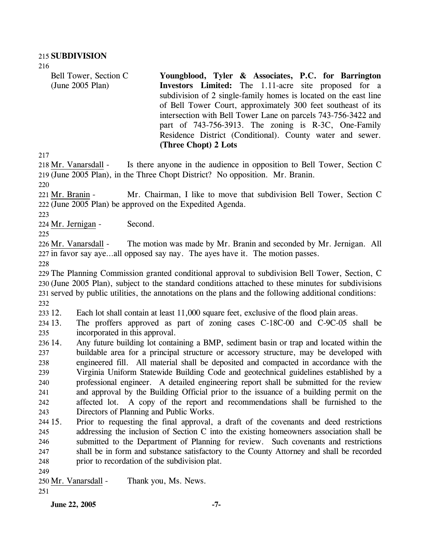Bell Tower, Section C (June 2005 Plan) **Youngblood, Tyler & Associates, P.C. for Barrington Investors Limited:** The 1.11-acre site proposed for a subdivision of 2 single-family homes is located on the east line of Bell Tower Court, approximately 300 feet southeast of its intersection with Bell Tower Lane on parcels 743-756-3422 and part of 743-756-3913. The zoning is R-3C, One-Family Residence District (Conditional). County water and sewer. **(Three Chopt) 2 Lots** 

217

Is there anyone in the audience in opposition to Bell Tower, Section C (June 2005 Plan), in the Three Chopt District? No opposition. Mr. Branin. 219 218 Mr. Vanarsdall -

220

Mr. Chairman, I like to move that subdivision Bell Tower, Section C 222 (June 2005 Plan) be approved on the Expedited Agenda. 221 Mr. Branin -

223

224 Mr. Jernigan - Second.

225

The motion was made by Mr. Branin and seconded by Mr. Jernigan. All 227 in favor say aye...all opposed say nay. The ayes have it. The motion passes. 226 Mr. Vanarsdall -

228

 The Planning Commission granted conditional approval to subdivision Bell Tower, Section, C (June 2005 Plan), subject to the standard conditions attached to these minutes for subdivisions served by public utilities, the annotations on the plans and the following additional conditions: 232

233 12. Each lot shall contain at least 11,000 square feet, exclusive of the flood plain areas.

234 13. 235 The proffers approved as part of zoning cases C-18C-00 and C-9C-05 shall be incorporated in this approval.

236 14. 237 238 239 240 241 242 243 14. Any future building lot containing a BMP, sediment basin or trap and located within the buildable area for a principal structure or accessory structure, may be developed with engineered fill. All material shall be deposited and compacted in accordance with the Virginia Uniform Statewide Building Code and geotechnical guidelines established by a professional engineer. A detailed engineering report shall be submitted for the review and approval by the Building Official prior to the issuance of a building permit on the affected lot. A copy of the report and recommendations shall be furnished to the Directors of Planning and Public Works.

244 15. 245 246 247 248 15. Prior to requesting the final approval, a draft of the covenants and deed restrictions addressing the inclusion of Section C into the existing homeowners association shall be submitted to the Department of Planning for review. Such covenants and restrictions shall be in form and substance satisfactory to the County Attorney and shall be recorded prior to recordation of the subdivision plat.

249

250 Mr. Vanarsdall - Thank you, Ms. News.

251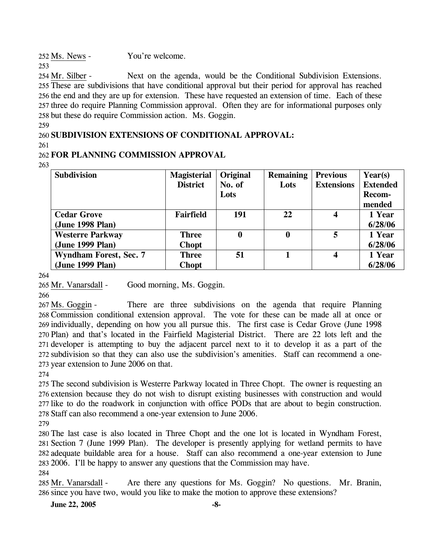252 Ms. News - You're welcome.

Next on the agenda, would be the Conditional Subdivision Extensions. 255 These are subdivisions that have conditional approval but their period for approval has reached 256 the end and they are up for extension. These have requested an extension of time. Each of these 257 three do require Planning Commission approval. Often they are for informational purposes only 258 but these do require Commission action. Ms. Goggin. 254 Mr. Silber -

259

253

#### 260 **SUBDIVISION EXTENSIONS OF CONDITIONAL APPROVAL:**

261

# 262 **FOR PLANNING COMMISSION APPROVAL**

263

| <b>Subdivision</b>            | <b>Magisterial</b> | Original | <b>Remaining</b> | <b>Previous</b>   | Year(s)         |
|-------------------------------|--------------------|----------|------------------|-------------------|-----------------|
|                               | <b>District</b>    | No. of   | Lots             | <b>Extensions</b> | <b>Extended</b> |
|                               |                    | Lots     |                  |                   | Recom-          |
|                               |                    |          |                  |                   | mended          |
| <b>Cedar Grove</b>            | <b>Fairfield</b>   | 191      | 22               | $\boldsymbol{4}$  | 1 Year          |
| (June 1998 Plan)              |                    |          |                  |                   | 6/28/06         |
| <b>Westerre Parkway</b>       | <b>Three</b>       | 0        | 0                | 5                 | 1 Year          |
| (June 1999 Plan)              | <b>Chopt</b>       |          |                  |                   | 6/28/06         |
| <b>Wyndham Forest, Sec. 7</b> | <b>Three</b>       | 51       |                  | 4                 | 1 Year          |
| (June 1999 Plan)              | <b>Chopt</b>       |          |                  |                   | 6/28/06         |

264

265 Mr. Vanarsdall - Good morning, Ms. Goggin.

266

There are three subdivisions on the agenda that require Planning 268 Commission conditional extension approval. The vote for these can be made all at once or 269 individually, depending on how you all pursue this. The first case is Cedar Grove (June 1998 270 Plan) and that's located in the Fairfield Magisterial District. There are 22 lots left and the 271 developer is attempting to buy the adjacent parcel next to it to develop it as a part of the 272 subdivision so that they can also use the subdivision's amenities. Staff can recommend a one-273 year extension to June 2006 on that. 267 Ms. Goggin -

274

 The second subdivision is Westerre Parkway located in Three Chopt. The owner is requesting an extension because they do not wish to disrupt existing businesses with construction and would like to do the roadwork in conjunction with office PODs that are about to begin construction. Staff can also recommend a one-year extension to June 2006.

279

 The last case is also located in Three Chopt and the one lot is located in Wyndham Forest, Section 7 (June 1999 Plan). The developer is presently applying for wetland permits to have adequate buildable area for a house. Staff can also recommend a one-year extension to June 2006. I'll be happy to answer any questions that the Commission may have.

284

Are there any questions for Ms. Goggin? No questions. Mr. Branin, 286 since you have two, would you like to make the motion to approve these extensions? 285 Mr. Vanarsdall -

**June 22, 2005** -8-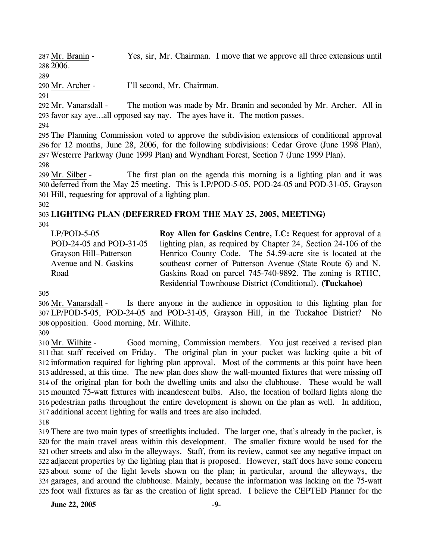Yes, sir, Mr. Chairman. I move that we approve all three extensions until 2006. 288 287 Mr. Branin -

#### 289

290 Mr. Archer - I'll second, Mr. Chairman.

291

The motion was made by Mr. Branin and seconded by Mr. Archer. All in favor say aye…all opposed say nay. The ayes have it. The motion passes. 293 292 Mr. Vanarsdall -

294

295 The Planning Commission voted to approve the subdivision extensions of conditional approval 296 for 12 months, June 28, 2006, for the following subdivisions: Cedar Grove (June 1998 Plan), 297 Westerre Parkway (June 1999 Plan) and Wyndham Forest, Section 7 (June 1999 Plan).

298

The first plan on the agenda this morning is a lighting plan and it was 300 deferred from the May 25 meeting. This is LP/POD-5-05, POD-24-05 and POD-31-05, Grayson 301 Hill, requesting for approval of a lighting plan. 299 Mr. Silber -

#### 302

# 303 **LIGHTING PLAN (DEFERRED FROM THE MAY 25, 2005, MEETING)**

304

LP/POD-5-05 POD-24-05 and POD-31-05 Grayson Hill–Patterson Avenue and N. Gaskins Road

**Roy Allen for Gaskins Centre, LC:** Request for approval of a lighting plan, as required by Chapter 24, Section 24-106 of the Henrico County Code. The 54.59-acre site is located at the southeast corner of Patterson Avenue (State Route 6) and N. Gaskins Road on parcel 745-740-9892. The zoning is RTHC, Residential Townhouse District (Conditional). **(Tuckahoe)** 

305

Is there anyone in the audience in opposition to this lighting plan for LP/POD-5-05, POD-24-05 and POD-31-05, Grayson Hill, in the Tuckahoe District? No 307 308 opposition. Good morning, Mr. Wilhite. 306 Mr. Vanarsdall -

309

Good morning, Commission members. You just received a revised plan 311 that staff received on Friday. The original plan in your packet was lacking quite a bit of 312 information required for lighting plan approval. Most of the comments at this point have been 313 addressed, at this time. The new plan does show the wall-mounted fixtures that were missing off 314 of the original plan for both the dwelling units and also the clubhouse. These would be wall mounted 75-watt fixtures with incandescent bulbs. Also, the location of bollard lights along the 315 316 pedestrian paths throughout the entire development is shown on the plan as well. In addition, 317 additional accent lighting for walls and trees are also included. 310 Mr. Wilhite -

318

 There are two main types of streetlights included. The larger one, that's already in the packet, is for the main travel areas within this development. The smaller fixture would be used for the other streets and also in the alleyways. Staff, from its review, cannot see any negative impact on adjacent properties by the lighting plan that is proposed. However, staff does have some concern about some of the light levels shown on the plan; in particular, around the alleyways, the garages, and around the clubhouse. Mainly, because the information was lacking on the 75-watt foot wall fixtures as far as the creation of light spread. I believe the CEPTED Planner for the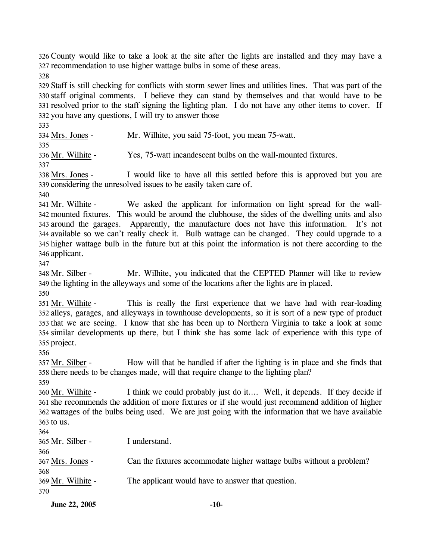326 County would like to take a look at the site after the lights are installed and they may have a 327 recommendation to use higher wattage bulbs in some of these areas.

328

 Staff is still checking for conflicts with storm sewer lines and utilities lines. That was part of the staff original comments. I believe they can stand by themselves and that would have to be resolved prior to the staff signing the lighting plan. I do not have any other items to cover. If you have any questions, I will try to answer those

333

334 Mrs. Jones - Mr. Wilhite, you said 75-foot, you mean 75-watt. 335

336 Mr. Wilhite - Yes, 75-watt incandescent bulbs on the wall-mounted fixtures.

337

I would like to have all this settled before this is approved but you are 339 considering the unresolved issues to be easily taken care of. 338 Mrs. Jones -

340

We asked the applicant for information on light spread for the wallmounted fixtures. This would be around the clubhouse, the sides of the dwelling units and also 342 343 around the garages. Apparently, the manufacture does not have this information. It's not 344 available so we can't really check it. Bulb wattage can be changed. They could upgrade to a 345 higher wattage bulb in the future but at this point the information is not there according to the 346 applicant. 341 Mr. Wilhite -

347

Mr. Wilhite, you indicated that the CEPTED Planner will like to review 349 the lighting in the alleyways and some of the locations after the lights are in placed. 348 Mr. Silber -

350

This is really the first experience that we have had with rear-loading 352 alleys, garages, and alleyways in townhouse developments, so it is sort of a new type of product 353 that we are seeing. I know that she has been up to Northern Virginia to take a look at some similar developments up there, but I think she has some lack of experience with this type of 354 355 project. 351 Mr. Wilhite -

356

How will that be handled if after the lighting is in place and she finds that 358 there needs to be changes made, will that require change to the lighting plan? 357 Mr. Silber -

359

I think we could probably just do it…. Well, it depends. If they decide if 361 she recommends the addition of more fixtures or if she would just recommend addition of higher 362 wattages of the bulbs being used. We are just going with the information that we have available  $363$  to us. 360 Mr. Wilhite -

364 365 Mr. Silber - I understand. 366

367 Mrs. Jones - Can the fixtures accommodate higher wattage bulbs without a problem?

368 369 Mr. Wilhite - The applicant would have to answer that question.

370

**June 22, 2005** -10-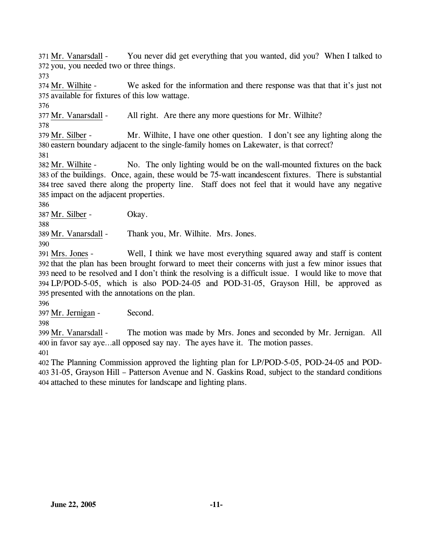You never did get everything that you wanted, did you? When I talked to 372 you, you needed two or three things. 371 Mr. Vanarsdall -

373

We asked for the information and there response was that that it's just not 375 available for fixtures of this low wattage. 374 Mr. Wilhite -

376

377 Mr. Vanarsdall - All right. Are there any more questions for Mr. Wilhite?

378

Mr. Wilhite, I have one other question. I don't see any lighting along the 380 eastern boundary adjacent to the single-family homes on Lakewater, is that correct? 379 Mr. Silber -

381

No. The only lighting would be on the wall-mounted fixtures on the back 383 of the buildings. Once, again, these would be 75-watt incandescent fixtures. There is substantial 384 tree saved there along the property line. Staff does not feel that it would have any negative 385 impact on the adjacent properties. 382 Mr. Wilhite -

386

387 Mr. Silber - Okay.

388

389 Mr. Vanarsdall - Thank you, Mr. Wilhite. Mrs. Jones.

390

Well, I think we have most everything squared away and staff is content 392 that the plan has been brought forward to meet their concerns with just a few minor issues that need to be resolved and I don't think the resolving is a difficult issue. I would like to move that 393 LP/POD-5-05, which is also POD-24-05 and POD-31-05, Grayson Hill, be approved as 394 395 presented with the annotations on the plan. 391 Mrs. Jones -

396

397 Mr. Jernigan - Second.

398

The motion was made by Mrs. Jones and seconded by Mr. Jernigan. All 400 in favor say aye...all opposed say nay. The ayes have it. The motion passes. 399 Mr. Vanarsdall -

401

402 The Planning Commission approved the lighting plan for LP/POD-5-05, POD-24-05 and POD-403 31-05, Grayson Hill – Patterson Avenue and N. Gaskins Road, subject to the standard conditions 404 attached to these minutes for landscape and lighting plans.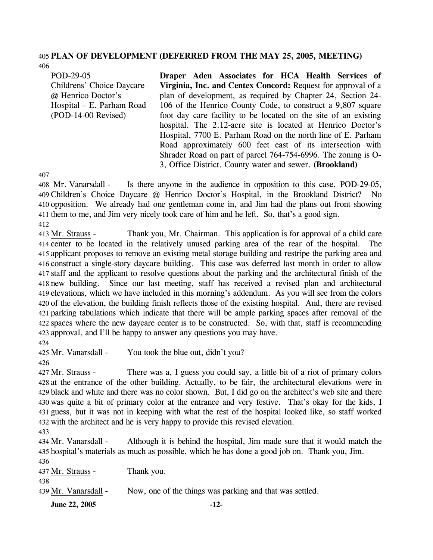#### 405 **PLAN OF DEVELOPMENT (DEFERRED FROM THE MAY 25, 2005, MEETING)**  406

POD-29-05 Childrens' Choice Daycare @ Henrico Doctor's Hospital – E. Parham Road (POD-14-00 Revised)

**Draper Aden Associates for HCA Health Services of Virginia, Inc. and Centex Concord:** Request for approval of a plan of development, as required by Chapter 24, Section 24- 106 of the Henrico County Code, to construct a 9,807 square foot day care facility to be located on the site of an existing hospital. The 2.12-acre site is located at Henrico Doctor's Hospital, 7700 E. Parham Road on the north line of E. Parham Road approximately 600 feet east of its intersection with Shrader Road on part of parcel 764-754-6996. The zoning is O-3, Office District. County water and sewer. **(Brookland)** 

407

Is there anyone in the audience in opposition to this case, POD-29-05, Children's Choice Daycare @ Henrico Doctor's Hospital, in the Brookland District? No 409 410 opposition. We already had one gentleman come in, and Jim had the plans out front showing 411 them to me, and Jim very nicely took care of him and he left. So, that's a good sign. 408 Mr. Vanarsdall -412

Thank you, Mr. Chairman. This application is for approval of a child care 414 center to be located in the relatively unused parking area of the rear of the hospital. The 415 applicant proposes to remove an existing metal storage building and restripe the parking area and 416 construct a single-story daycare building. This case was deferred last month in order to allow 417 staff and the applicant to resolve questions about the parking and the architectural finish of the Since our last meeting, staff has received a revised plan and architectural 419 elevations, which we have included in this morning's addendum. As you will see from the colors 420 of the elevation, the building finish reflects those of the existing hospital. And, there are revised parking tabulations which indicate that there will be ample parking spaces after removal of the 421 422 spaces where the new daycare center is to be constructed. So, with that, staff is recommending 423 approval, and I'll be happy to answer any questions you may have. 413 Mr. Strauss -418 new building.

424

425 Mr. Vanarsdall - You took the blue out, didn't you?

426

There was a, I guess you could say, a little bit of a riot of primary colors 428 at the entrance of the other building. Actually, to be fair, the architectural elevations were in black and white and there was no color shown. But, I did go on the architect's web site and there 429 430 was quite a bit of primary color at the entrance and very festive. That's okay for the kids, I 431 guess, but it was not in keeping with what the rest of the hospital looked like, so staff worked 432 with the architect and he is very happy to provide this revised elevation. 427 Mr. Strauss -

433

Although it is behind the hospital, Jim made sure that it would match the 435 hospital's materials as much as possible, which he has done a good job on. Thank you, Jim. 434 Mr. Vanarsdall -

**June 22, 2005** -12-436 437 Mr. Strauss - Thank you. 438 439 Mr. Vanarsdall - Now, one of the things was parking and that was settled.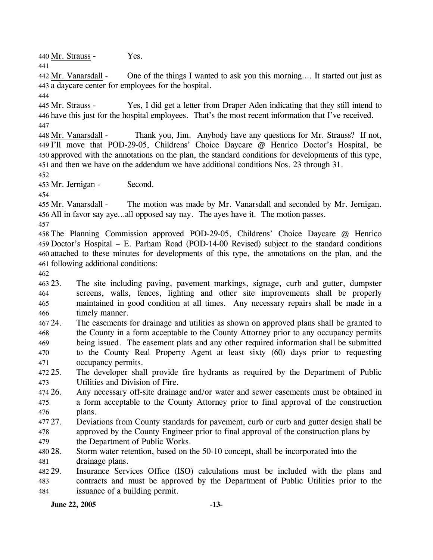440 Mr. Strauss - Yes. 441

One of the things I wanted to ask you this morning.... It started out just as a daycare center for employees for the hospital. 443 442 Mr. Vanarsdall -

444

Yes, I did get a letter from Draper Aden indicating that they still intend to 446 have this just for the hospital employees. That's the most recent information that I've received. 445 Mr. Strauss -447

Thank you, Jim. Anybody have any questions for Mr. Strauss? If not, 449 I'll move that POD-29-05, Childrens' Choice Daycare @ Henrico Doctor's Hospital, be 450 approved with the annotations on the plan, the standard conditions for developments of this type, 451 and then we have on the addendum we have additional conditions Nos. 23 through 31. 448 Mr. Vanarsdall -

452

453 Mr. Jernigan - Second.

454

The motion was made by Mr. Vanarsdall and seconded by Mr. Jernigan. 456 All in favor say aye...all opposed say nay. The ayes have it. The motion passes. 455 Mr. Vanarsdall -

457

 The Planning Commission approved POD-29-05, Childrens' Choice Daycare @ Henrico Doctor's Hospital – E. Parham Road (POD-14-00 Revised) subject to the standard conditions attached to these minutes for developments of this type, the annotations on the plan, and the following additional conditions:

462

463 23. 464 465 466 The site including paving, pavement markings, signage, curb and gutter, dumpster screens, walls, fences, lighting and other site improvements shall be properly maintained in good condition at all times. Any necessary repairs shall be made in a timely manner.

467 24. 468 469 470 471 24. The easements for drainage and utilities as shown on approved plans shall be granted to the County in a form acceptable to the County Attorney prior to any occupancy permits being issued. The easement plats and any other required information shall be submitted to the County Real Property Agent at least sixty (60) days prior to requesting occupancy permits.

 $472.25$ . 473 The developer shall provide fire hydrants as required by the Department of Public Utilities and Division of Fire.

474 26. 475 476 Any necessary off-site drainage and/or water and sewer easements must be obtained in a form acceptable to the County Attorney prior to final approval of the construction plans.

477.27 478 27. Deviations from County standards for pavement, curb or curb and gutter design shall be approved by the County Engineer prior to final approval of the construction plans by

479 the Department of Public Works.

480 28. 481 Storm water retention, based on the 50-10 concept, shall be incorporated into the drainage plans.

482 29. 483 484 Insurance Services Office (ISO) calculations must be included with the plans and contracts and must be approved by the Department of Public Utilities prior to the issuance of a building permit.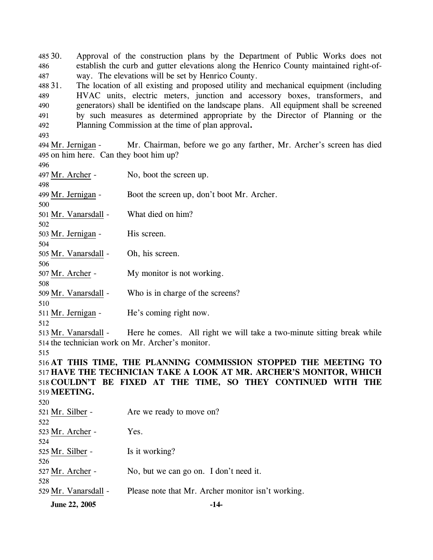485 30. 486 487 Approval of the construction plans by the Department of Public Works does not establish the curb and gutter elevations along the Henrico County maintained right-ofway. The elevations will be set by Henrico County.

488 31. 489 490 491 492 The location of all existing and proposed utility and mechanical equipment (including HVAC units, electric meters, junction and accessory boxes, transformers, and generators) shall be identified on the landscape plans. All equipment shall be screened by such measures as determined appropriate by the Director of Planning or the Planning Commission at the time of plan approval**.**

493

496

Mr. Chairman, before we go any farther, Mr. Archer's screen has died 495 on him here. Can they boot him up? 494 Mr. Jernigan -

| 497 Mr. Archer -                                                   | No, boot the screen up.                                                |  |  |  |  |
|--------------------------------------------------------------------|------------------------------------------------------------------------|--|--|--|--|
| 498                                                                |                                                                        |  |  |  |  |
| 499 Mr. Jernigan -                                                 | Boot the screen up, don't boot Mr. Archer.                             |  |  |  |  |
| 500                                                                |                                                                        |  |  |  |  |
| 501 Mr. Vanarsdall -                                               | What died on him?                                                      |  |  |  |  |
| 502                                                                |                                                                        |  |  |  |  |
| 503 Mr. Jernigan -                                                 | His screen.                                                            |  |  |  |  |
| 504                                                                |                                                                        |  |  |  |  |
| 505 Mr. Vanarsdall -                                               | Oh, his screen.                                                        |  |  |  |  |
| 506                                                                |                                                                        |  |  |  |  |
| 507 Mr. Archer -                                                   | My monitor is not working.                                             |  |  |  |  |
| 508                                                                |                                                                        |  |  |  |  |
| 509 Mr. Vanarsdall -                                               | Who is in charge of the screens?                                       |  |  |  |  |
| 510                                                                |                                                                        |  |  |  |  |
| 511 Mr. Jernigan -                                                 | He's coming right now.                                                 |  |  |  |  |
| 512                                                                |                                                                        |  |  |  |  |
| 513 Mr. Vanarsdall -                                               | Here he comes. All right we will take a two-minute sitting break while |  |  |  |  |
|                                                                    | 514 the technician work on Mr. Archer's monitor.                       |  |  |  |  |
| 515                                                                |                                                                        |  |  |  |  |
|                                                                    | 516 AT THIS TIME, THE PLANNING COMMISSION STOPPED THE MEETING TO       |  |  |  |  |
| 517 HAVE THE TECHNICIAN TAKE A LOOK AT MR. ARCHER'S MONITOR, WHICH |                                                                        |  |  |  |  |
|                                                                    | 518 COULDN'T BE FIXED AT THE TIME, SO THEY CONTINUED WITH THE          |  |  |  |  |
| 519 MEETING.                                                       |                                                                        |  |  |  |  |
| 520                                                                |                                                                        |  |  |  |  |
| 521 Mr. Silber -                                                   | Are we ready to move on?                                               |  |  |  |  |
| 522                                                                |                                                                        |  |  |  |  |
| 523 Mr. Archer -                                                   | Yes.                                                                   |  |  |  |  |
| 524                                                                |                                                                        |  |  |  |  |
| 525 Mr. Silber -                                                   | Is it working?                                                         |  |  |  |  |
| 526                                                                |                                                                        |  |  |  |  |
| 527 Mr. Archer -                                                   | No, but we can go on. I don't need it.                                 |  |  |  |  |
| 528                                                                |                                                                        |  |  |  |  |

529 Mr. Vanarsdall - Please note that Mr. Archer monitor isn't working.

**June 22, 2005 -14-**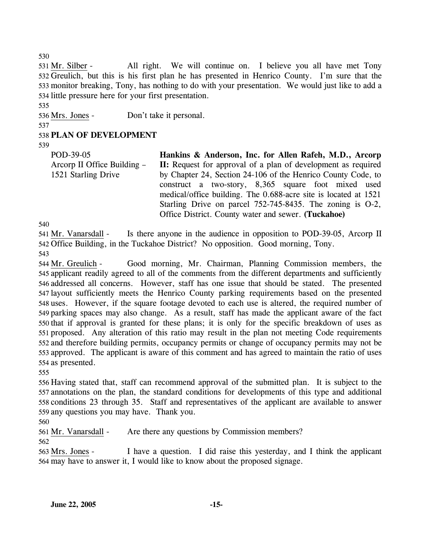All right. We will continue on. I believe you all have met Tony 532 Greulich, but this is his first plan he has presented in Henrico County. I'm sure that the 533 monitor breaking, Tony, has nothing to do with your presentation. We would just like to add a 534 little pressure here for your first presentation. 531 Mr. Silber -

535

536 Mrs. Jones - Don't take it personal.

# 538 **PLAN OF DEVELOPMENT**

539

537

POD-39-05 Arcorp II Office Building – 1521 Starling Drive **Hankins & Anderson, Inc. for Allen Rafeh, M.D., Arcorp II:** Request for approval of a plan of development as required by Chapter 24, Section 24-106 of the Henrico County Code, to construct a two-story, 8,365 square foot mixed used medical/office building. The 0.688-acre site is located at 1521 Starling Drive on parcel 752-745-8435. The zoning is O-2, Office District. County water and sewer. **(Tuckahoe)** 

540

Is there anyone in the audience in opposition to POD-39-05, Arcorp II 542 Office Building, in the Tuckahoe District? No opposition. Good morning, Tony. 541 Mr. Vanarsdall -543

Good morning, Mr. Chairman, Planning Commission members, the 545 applicant readily agreed to all of the comments from the different departments and sufficiently 546 addressed all concerns. However, staff has one issue that should be stated. The presented 547 layout sufficiently meets the Henrico County parking requirements based on the presented 548 uses. However, if the square footage devoted to each use is altered, the required number of 549 parking spaces may also change. As a result, staff has made the applicant aware of the fact 550 that if approval is granted for these plans; it is only for the specific breakdown of uses as 551 proposed. Any alteration of this ratio may result in the plan not meeting Code requirements 552 and therefore building permits, occupancy permits or change of occupancy permits may not be 553 approved. The applicant is aware of this comment and has agreed to maintain the ratio of uses 554 as presented. 544 Mr. Greulich -

555

 Having stated that, staff can recommend approval of the submitted plan. It is subject to the annotations on the plan, the standard conditions for developments of this type and additional conditions 23 through 35. Staff and representatives of the applicant are available to answer any questions you may have. Thank you.

560

561 Mr. Vanarsdall - Are there any questions by Commission members?

562

I have a question. I did raise this yesterday, and I think the applicant 564 may have to answer it, I would like to know about the proposed signage. 563 Mrs. Jones -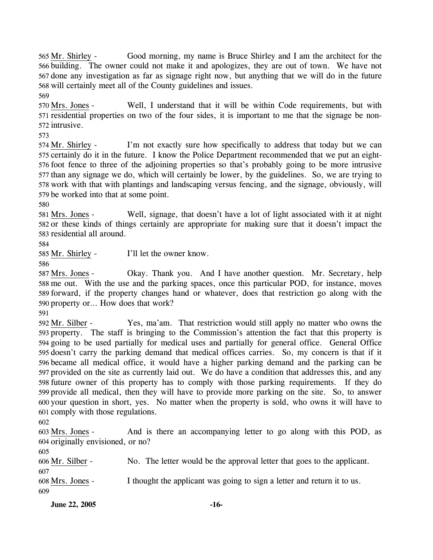Good morning, my name is Bruce Shirley and I am the architect for the 566 building. The owner could not make it and apologizes, they are out of town. We have not 567 done any investigation as far as signage right now, but anything that we will do in the future 568 will certainly meet all of the County guidelines and issues. 565 Mr. Shirley -569

Well, I understand that it will be within Code requirements, but with 571 residential properties on two of the four sides, it is important to me that the signage be non-572 intrusive. 570 Mrs. Jones -

573

I'm not exactly sure how specifically to address that today but we can 575 certainly do it in the future. I know the Police Department recommended that we put an eight-576 foot fence to three of the adjoining properties so that's probably going to be more intrusive 577 than any signage we do, which will certainly be lower, by the guidelines. So, we are trying to 578 work with that with plantings and landscaping versus fencing, and the signage, obviously, will 579 be worked into that at some point. 574 Mr. Shirley -

580

Well, signage, that doesn't have a lot of light associated with it at night 582 or these kinds of things certainly are appropriate for making sure that it doesn't impact the 583 residential all around. 581 Mrs. Jones -

584

585 Mr. Shirley - I'll let the owner know.

586

Okay. Thank you. And I have another question. Mr. Secretary, help 588 me out. With the use and the parking spaces, once this particular POD, for instance, moves 589 forward, if the property changes hand or whatever, does that restriction go along with the 590 property or... How does that work? 587 Mrs. Jones -

591

Yes, ma'am. That restriction would still apply no matter who owns the 593 property. The staff is bringing to the Commission's attention the fact that this property is 594 going to be used partially for medical uses and partially for general office. General Office 595 doesn't carry the parking demand that medical offices carries. So, my concern is that if it 596 became all medical office, it would have a higher parking demand and the parking can be 597 provided on the site as currently laid out. We do have a condition that addresses this, and any 598 future owner of this property has to comply with those parking requirements. If they do 599 provide all medical, then they will have to provide more parking on the site. So, to answer 600 your question in short, yes. No matter when the property is sold, who owns it will have to 601 comply with those regulations. 592 Mr. Silber -

602

And is there an accompanying letter to go along with this POD, as 604 originally envisioned, or no? 603 Mrs. Jones -

605

606 Mr. Silber - No. The letter would be the approval letter that goes to the applicant. 607 608 Mrs. Jones - I thought the applicant was going to sign a letter and return it to us. 609

**June 22, 2005** -16-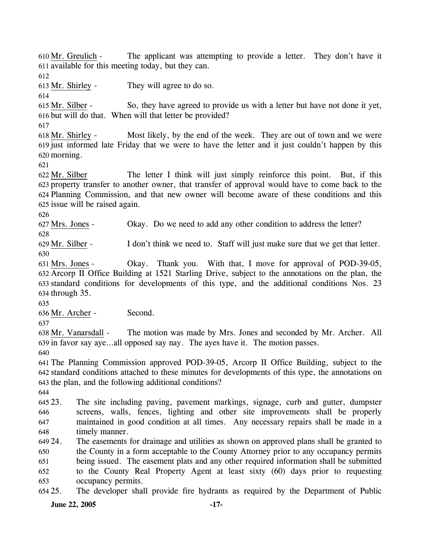The applicant was attempting to provide a letter. They don't have it 611 available for this meeting today, but they can.  $610$  Mr. Greulich -612 613 Mr. Shirley - They will agree to do so. 614 So, they have agreed to provide us with a letter but have not done it yet, 616 but will do that. When will that letter be provided? 615 Mr. Silber -617 Most likely, by the end of the week. They are out of town and we were 619 just informed late Friday that we were to have the letter and it just couldn't happen by this 620 morning.  $618$  Mr. Shirley -621 The letter I think will just simply reinforce this point. But, if this 623 property transfer to another owner, that transfer of approval would have to come back to the Planning Commission, and that new owner will become aware of these conditions and this 624 625 issue will be raised again. 622 Mr. Silber 626 627 Mrs. Jones - Okay. Do we need to add any other condition to address the letter? 628 629 Mr. Silber - I don't think we need to. Staff will just make sure that we get that letter. 630 Okay. Thank you. With that, I move for approval of POD-39-05, Arcorp II Office Building at 1521 Starling Drive, subject to the annotations on the plan, the 632 631 Mrs. Jones -

633 standard conditions for developments of this type, and the additional conditions Nos. 23  $634$  through  $35$ .

635

636 Mr. Archer - Second.

637

The motion was made by Mrs. Jones and seconded by Mr. Archer. All 639 in favor say aye...all opposed say nay. The ayes have it. The motion passes. 638 Mr. Vanarsdall -

640

641 The Planning Commission approved POD-39-05, Arcorp II Office Building, subject to the 642 standard conditions attached to these minutes for developments of this type, the annotations on 643 the plan, and the following additional conditions?

644

645 23 646 647 648 The site including paving, pavement markings, signage, curb and gutter, dumpster screens, walls, fences, lighting and other site improvements shall be properly maintained in good condition at all times. Any necessary repairs shall be made in a timely manner.

649 24. 650 651 652 24. The easements for drainage and utilities as shown on approved plans shall be granted to the County in a form acceptable to the County Attorney prior to any occupancy permits being issued. The easement plats and any other required information shall be submitted to the County Real Property Agent at least sixty (60) days prior to requesting

653 occupancy permits.

654 25. The developer shall provide fire hydrants as required by the Department of Public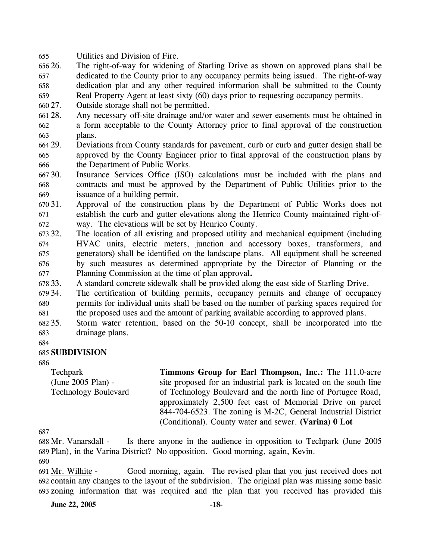655 Utilities and Division of Fire.

- 656 26. 657 658 The right-of-way for widening of Starling Drive as shown on approved plans shall be dedicated to the County prior to any occupancy permits being issued. The right-of-way dedication plat and any other required information shall be submitted to the County
- 659 Real Property Agent at least sixty (60) days prior to requesting occupancy permits.
- 660 27. Outside storage shall not be permitted.
- 661 28. 662 663 Any necessary off-site drainage and/or water and sewer easements must be obtained in a form acceptable to the County Attorney prior to final approval of the construction plans.
- 664 29. 665 666 29. Deviations from County standards for pavement, curb or curb and gutter design shall be approved by the County Engineer prior to final approval of the construction plans by the Department of Public Works.
- 667 30. 668 669 Insurance Services Office (ISO) calculations must be included with the plans and contracts and must be approved by the Department of Public Utilities prior to the issuance of a building permit.
- 670 31. 671 672 31. Approval of the construction plans by the Department of Public Works does not establish the curb and gutter elevations along the Henrico County maintained right-ofway. The elevations will be set by Henrico County.
- 673 32. 674 675 676 677 The location of all existing and proposed utility and mechanical equipment (including HVAC units, electric meters, junction and accessory boxes, transformers, and generators) shall be identified on the landscape plans. All equipment shall be screened by such measures as determined appropriate by the Director of Planning or the Planning Commission at the time of plan approval**.**
- 678 33. A standard concrete sidewalk shall be provided along the east side of Starling Drive.
- 679 34. 680 681 The certification of building permits, occupancy permits and change of occupancy permits for individual units shall be based on the number of parking spaces required for the proposed uses and the amount of parking available according to approved plans.
- 682 35. 683 35. Storm water retention, based on the 50-10 concept, shall be incorporated into the drainage plans.
- 684

#### 685 **SUBDIVISION**

686

Techpark (June 2005 Plan) - Technology Boulevard **Timmons Group for Earl Thompson, Inc.:** The 111.0-acre site proposed for an industrial park is located on the south line of Technology Boulevard and the north line of Portugee Road, approximately 2,500 feet east of Memorial Drive on parcel 844-704-6523. The zoning is M-2C, General Industrial District (Conditional). County water and sewer. **(Varina) 0 Lot** 

687

Is there anyone in the audience in opposition to Techpark (June 2005) Plan), in the Varina District? No opposition. Good morning, again, Kevin. 689 688 Mr. Vanarsdall -

690

Good morning, again. The revised plan that you just received does not 692 contain any changes to the layout of the subdivision. The original plan was missing some basic zoning information that was required and the plan that you received has provided this 693 691 Mr. Wilhite -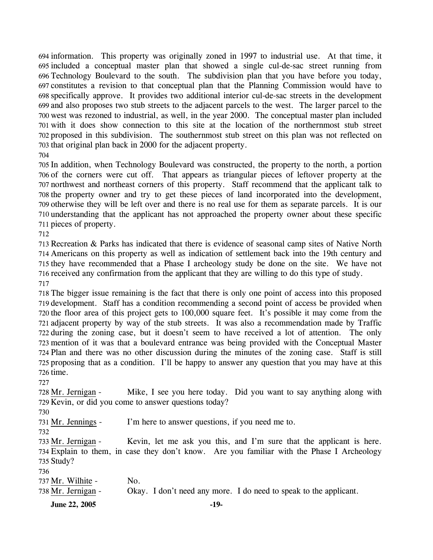information. This property was originally zoned in 1997 to industrial use. At that time, it included a conceptual master plan that showed a single cul-de-sac street running from Technology Boulevard to the south. The subdivision plan that you have before you today, constitutes a revision to that conceptual plan that the Planning Commission would have to specifically approve. It provides two additional interior cul-de-sac streets in the development and also proposes two stub streets to the adjacent parcels to the west. The larger parcel to the west was rezoned to industrial, as well, in the year 2000. The conceptual master plan included with it does show connection to this site at the location of the northernmost stub street proposed in this subdivision. The southernmost stub street on this plan was not reflected on that original plan back in 2000 for the adjacent property. 

 In addition, when Technology Boulevard was constructed, the property to the north, a portion of the corners were cut off. That appears as triangular pieces of leftover property at the northwest and northeast corners of this property. Staff recommend that the applicant talk to the property owner and try to get these pieces of land incorporated into the development, otherwise they will be left over and there is no real use for them as separate parcels. It is our understanding that the applicant has not approached the property owner about these specific pieces of property.

 Recreation & Parks has indicated that there is evidence of seasonal camp sites of Native North Americans on this property as well as indication of settlement back into the 19th century and they have recommended that a Phase I archeology study be done on the site. We have not received any confirmation from the applicant that they are willing to do this type of study. 

 The bigger issue remaining is the fact that there is only one point of access into this proposed development. Staff has a condition recommending a second point of access be provided when the floor area of this project gets to 100,000 square feet. It's possible it may come from the adjacent property by way of the stub streets. It was also a recommendation made by Traffic during the zoning case, but it doesn't seem to have received a lot of attention. The only mention of it was that a boulevard entrance was being provided with the Conceptual Master Plan and there was no other discussion during the minutes of the zoning case. Staff is still proposing that as a condition. I'll be happy to answer any question that you may have at this time.

Mike, I see you here today. Did you want to say anything along with 729 Kevin, or did you come to answer questions today? 728 Mr. Jernigan -

731 Mr. Jennings - I'm here to answer questions, if you need me to.

Kevin, let me ask you this, and I'm sure that the applicant is here. Explain to them, in case they don't know. Are you familiar with the Phase I Archeology 735 Study? 733 Mr. Jernigan -

| $\sim$ $\sim$      |                                                                   |
|--------------------|-------------------------------------------------------------------|
| 737 Mr. Wilhite -  | N <sub>O</sub> .                                                  |
| 738 Mr. Jernigan - | Okay. I don't need any more. I do need to speak to the applicant. |

**June 22, 2005** -19-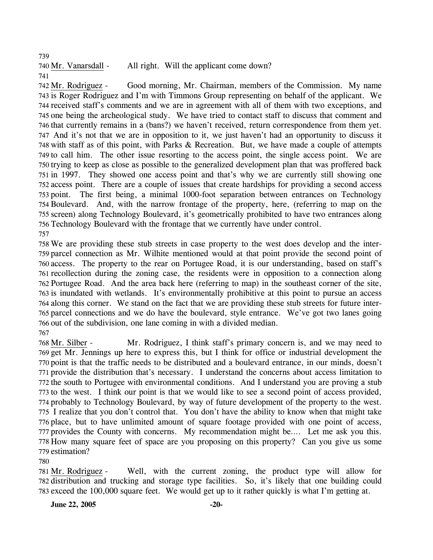740 Mr. Vanarsdall - All right. Will the applicant come down? 741

Good morning, Mr. Chairman, members of the Commission. My name 743 is Roger Rodriguez and I'm with Timmons Group representing on behalf of the applicant. We 744 received staff's comments and we are in agreement with all of them with two exceptions, and 745 one being the archeological study. We have tried to contact staff to discuss that comment and 746 that currently remains in a (bans?) we haven't received, return correspondence from them yet. 747 And it's not that we are in opposition to it, we just haven't had an opportunity to discuss it 748 with staff as of this point, with Parks & Recreation. But, we have made a couple of attempts 749 to call him. The other issue resorting to the access point, the single access point. We are 750 trying to keep as close as possible to the generalized development plan that was proffered back 751 in 1997. They showed one access point and that's why we are currently still showing one 752 access point. There are a couple of issues that create hardships for providing a second access The first being, a minimal 1000-foot separation between entrances on Technology 754 Boulevard. And, with the narrow frontage of the property, here, (referring to map on the 755 screen) along Technology Boulevard, it's geometrically prohibited to have two entrances along 756 Technology Boulevard with the frontage that we currently have under control. 742 Mr. Rodriguez -753 point. 757

 We are providing these stub streets in case property to the west does develop and the inter- parcel connection as Mr. Wilhite mentioned would at that point provide the second point of access. The property to the rear on Portugee Road, it is our understanding, based on staff's recollection during the zoning case, the residents were in opposition to a connection along Portugee Road. And the area back here (referring to map) in the southeast corner of the site, is inundated with wetlands. It's environmentally prohibitive at this point to pursue an access along this corner. We stand on the fact that we are providing these stub streets for future inter- parcel connections and we do have the boulevard, style entrance. We've got two lanes going out of the subdivision, one lane coming in with a divided median.

767

Mr. Rodriguez, I think staff's primary concern is, and we may need to 769 get Mr. Jennings up here to express this, but I think for office or industrial development the 770 point is that the traffic needs to be distributed and a boulevard entrance, in our minds, doesn't 771 provide the distribution that's necessary. I understand the concerns about access limitation to 772 the south to Portugee with environmental conditions. And I understand you are proving a stub 773 to the west. I think our point is that we would like to see a second point of access provided, 774 probably to Technology Boulevard, by way of future development of the property to the west. 775 I realize that you don't control that. You don't have the ability to know when that might take 776 place, but to have unlimited amount of square footage provided with one point of access, 777 provides the County with concerns. My recommendation might be.... Let me ask you this. 778 How many square feet of space are you proposing on this property? Can you give us some 779 estimation? 768 Mr. Silber -

780

Well, with the current zoning, the product type will allow for 782 distribution and trucking and storage type facilities. So, it's likely that one building could 783 exceed the 100,000 square feet. We would get up to it rather quickly is what I'm getting at. 781 Mr. Rodriguez -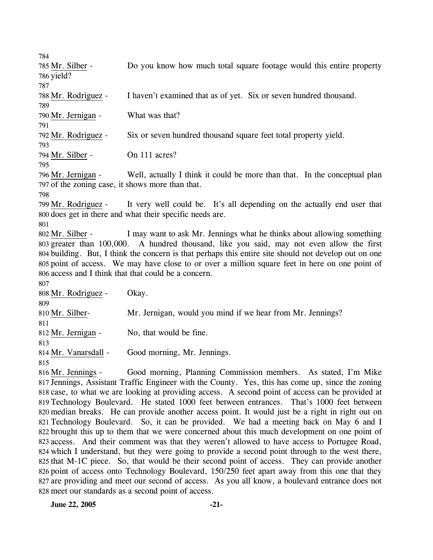Do you know how much total square footage would this entire property 785 Mr. Silber -

786 yield? 787

789

791

793

788 Mr. Rodriguez - I haven't examined that as of yet. Six or seven hundred thousand.

790 Mr. Jernigan - What was that?

792 Mr. Rodriguez - Six or seven hundred thousand square feet total property yield.

794 Mr. Silber - On 111 acres?

795

Well, actually I think it could be more than that. In the conceptual plan 797 of the zoning case, it shows more than that. 796 Mr. Jernigan -

798

It very well could be. It's all depending on the actually end user that 800 does get in there and what their specific needs are. 799 Mr. Rodriguez -

801

I may want to ask Mr. Jennings what he thinks about allowing something 803 greater than 100,000. A hundred thousand, like you said, may not even allow the first 804 building. But, I think the concern is that perhaps this entire site should not develop out on one 805 point of access. We may have close to or over a million square feet in here on one point of 806 access and I think that that could be a concern. 802 Mr. Silber -

807

808 Mr. Rodriguez - Okay.

809 810 Mr. Silber- Mr. Jernigan, would you mind if we hear from Mr. Jennings?

811

812 Mr. Jernigan - No, that would be fine.

813

814 Mr. Vanarsdall - Good morning, Mr. Jennings.

815

Good morning, Planning Commission members. As stated, I'm Mike 817 Jennings, Assistant Traffic Engineer with the County. Yes, this has come up, since the zoning 818 case, to what we are looking at providing access. A second point of access can be provided at Technology Boulevard. He stated 1000 feet between entrances. That's 1000 feet between 819 820 median breaks. He can provide another access point. It would just be a right in right out on Technology Boulevard. So, it can be provided. We had a meeting back on May 6 and I 821 822 brought this up to them that we were concerned about this much development on one point of 823 access. And their comment was that they weren't allowed to have access to Portugee Road, 824 which I understand, but they were going to provide a second point through to the west there, 825 that M-1C piece. So, that would be their second point of access. They can provide another 826 point of access onto Technology Boulevard, 150/250 feet apart away from this one that they 827 are providing and meet our second of access. As you all know, a boulevard entrance does not 828 meet our standards as a second point of access. 816 Mr. Jennings -

**June 22, 2005** -21-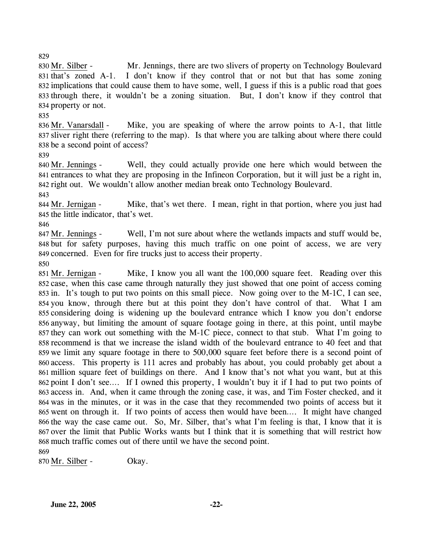Mr. Jennings, there are two slivers of property on Technology Boulevard I don't know if they control that or not but that has some zoning 832 implications that could cause them to have some, well, I guess if this is a public road that goes 833 through there, it wouldn't be a zoning situation. But, I don't know if they control that 834 property or not. 830 Mr. Silber -831 that's zoned  $A-1$ .

835

Mike, you are speaking of where the arrow points to  $A-1$ , that little 837 sliver right there (referring to the map). Is that where you are talking about where there could 838 be a second point of access? 836 Mr. Vanarsdall -

839

Well, they could actually provide one here which would between the 841 entrances to what they are proposing in the Infineon Corporation, but it will just be a right in, 842 right out. We wouldn't allow another median break onto Technology Boulevard. 840 Mr. Jennings -

843

Mike, that's wet there. I mean, right in that portion, where you just had 845 the little indicator, that's wet. 844 Mr. Jernigan -

846

Well, I'm not sure about where the wetlands impacts and stuff would be, 848 but for safety purposes, having this much traffic on one point of access, we are very 849 concerned. Even for fire trucks just to access their property. 847 Mr. Jennings -

850

Mike, I know you all want the 100,000 square feet. Reading over this 852 case, when this case came through naturally they just showed that one point of access coming 853 in. It's tough to put two points on this small piece. Now going over to the M-1C, I can see, 854 you know, through there but at this point they don't have control of that. What I am 855 considering doing is widening up the boulevard entrance which I know you don't endorse 856 anyway, but limiting the amount of square footage going in there, at this point, until maybe 857 they can work out something with the M-1C piece, connect to that stub. What I'm going to 858 recommend is that we increase the island width of the boulevard entrance to 40 feet and that 859 we limit any square footage in there to 500,000 square feet before there is a second point of 860 access. This property is 111 acres and probably has about, you could probably get about a 861 million square feet of buildings on there. And I know that's not what you want, but at this 862 point I don't see.... If I owned this property, I wouldn't buy it if I had to put two points of 863 access in. And, when it came through the zoning case, it was, and Tim Foster checked, and it 864 was in the minutes, or it was in the case that they recommended two points of access but it 865 went on through it. If two points of access then would have been.... It might have changed 866 the way the case came out. So, Mr. Silber, that's what I'm feeling is that, I know that it is 867 over the limit that Public Works wants but I think that it is something that will restrict how 868 much traffic comes out of there until we have the second point. 851 Mr. Jernigan -869

870 Mr. Silber - Okay.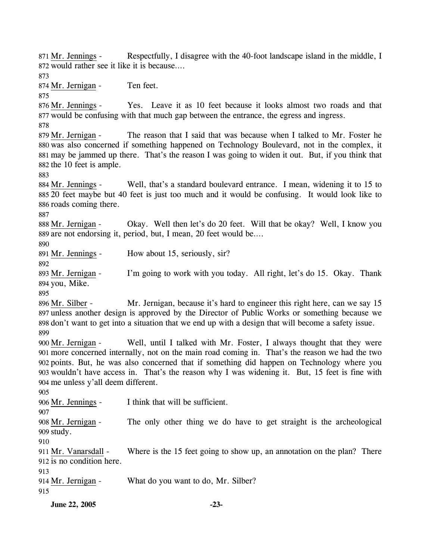Respectfully, I disagree with the 40-foot landscape island in the middle, I 872 would rather see it like it is because.... 871 Mr. Jennings -873 874 Mr. Jernigan - Ten feet. 875 Yes. Leave it as 10 feet because it looks almost two roads and that 877 would be confusing with that much gap between the entrance, the egress and ingress. 876 Mr. Jennings -878 The reason that I said that was because when I talked to Mr. Foster he 880 was also concerned if something happened on Technology Boulevard, not in the complex, it may be jammed up there. That's the reason I was going to widen it out. But, if you think that 881 882 the 10 feet is ample. 879 Mr. Jernigan -883 Well, that's a standard boulevard entrance. I mean, widening it to 15 to 20 feet maybe but 40 feet is just too much and it would be confusing. It would look like to 885 886 roads coming there. 884 Mr. Jennings -887 Okay. Well then let's do 20 feet. Will that be okay? Well, I know you 889 are not endorsing it, period, but, I mean, 20 feet would be.... 888 Mr. Jernigan -890 891 Mr. Jennings - How about 15, seriously, sir? 892 I'm going to work with you today. All right, let's do 15. Okay. Thank 894 you, Mike. 893 Mr. Jernigan -895 Mr. Jernigan, because it's hard to engineer this right here, can we say 15 897 unless another design is approved by the Director of Public Works or something because we 898 don't want to get into a situation that we end up with a design that will become a safety issue. 896 Mr. Silber -899 Well, until I talked with Mr. Foster, I always thought that they were more concerned internally, not on the main road coming in. That's the reason we had the two 901 points. But, he was also concerned that if something did happen on Technology where you 902 903 wouldn't have access in. That's the reason why I was widening it. But, 15 feet is fine with 904 me unless y'all deem different. 900 Mr. Jernigan -905 906 Mr. Jennings - I think that will be sufficient. 907 The only other thing we do have to get straight is the archeological 909 study. 908 Mr. Jernigan -910 Where is the 15 feet going to show up, an annotation on the plan? There 912 is no condition here. 911 Mr. Vanarsdall -913 914 Mr. Jernigan - What do you want to do, Mr. Silber? 915

**June 22, 2005** -23-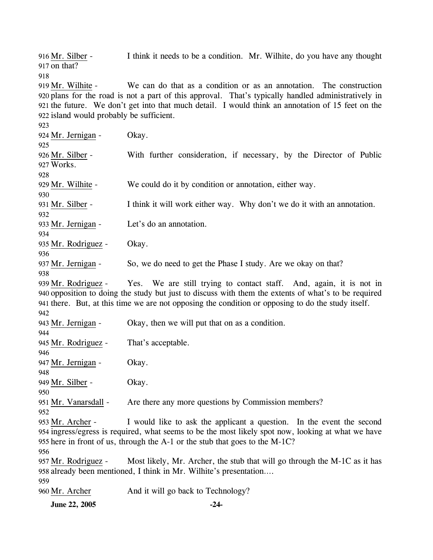**June 22, 2005** -24-I think it needs to be a condition. Mr. Wilhite, do you have any thought 917 on that? 916 Mr. Silber -918 We can do that as a condition or as an annotation. The construction 920 plans for the road is not a part of this approval. That's typically handled administratively in 921 the future. We don't get into that much detail. I would think an annotation of 15 feet on the 922 island would probably be sufficient. 919 Mr. Wilhite -923 924 Mr. Jernigan - Okay. 925 With further consideration, if necessary, by the Director of Public Works. 927 926 Mr. Silber -928 929 Mr. Wilhite - We could do it by condition or annotation, either way. 930 931 Mr. Silber - I think it will work either way. Why don't we do it with an annotation. 932 933 Mr. Jernigan - Let's do an annotation. 934 935 Mr. Rodriguez - Okay. 936 937 Mr. Jernigan - So, we do need to get the Phase I study. Are we okay on that? 938 Yes. We are still trying to contact staff. And, again, it is not in 940 opposition to doing the study but just to discuss with them the extents of what's to be required 941 there. But, at this time we are not opposing the condition or opposing to do the study itself. 939 Mr. Rodriguez -942 943 Mr. Jernigan - Okay, then we will put that on as a condition. 944 945 Mr. Rodriguez - That's acceptable. 946 947 Mr. Jernigan - Okay. 948 949 Mr. Silber - Okay. 950 951 Mr. Vanarsdall - Are there any more questions by Commission members? 952 I would like to ask the applicant a question. In the event the second 954 ingress/egress is required, what seems to be the most likely spot now, looking at what we have 955 here in front of us, through the A-1 or the stub that goes to the M-1C? 953 Mr. Archer -956 Most likely, Mr. Archer, the stub that will go through the M-1C as it has 958 already been mentioned, I think in Mr. Wilhite's presentation.... 957 Mr. Rodriguez -959 960 Mr. Archer And it will go back to Technology?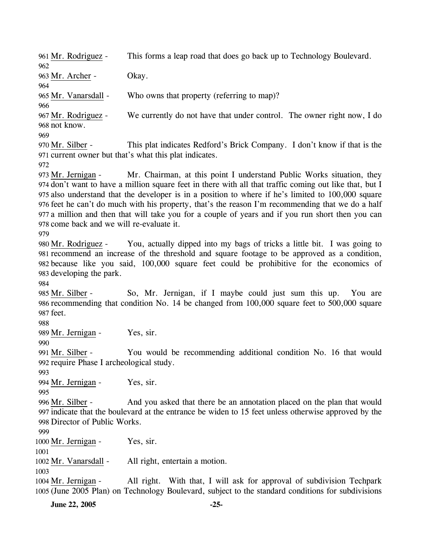961 Mr. Rodriguez - This forms a leap road that does go back up to Technology Boulevard. 962 963 Mr. Archer - Okay. 964 965 Mr. Vanarsdall - Who owns that property (referring to map)? 966 We currently do not have that under control. The owner right now, I do 968 not know. 967 Mr. Rodriguez -969 This plat indicates Redford's Brick Company. I don't know if that is the 971 current owner but that's what this plat indicates. 970 Mr. Silber -972 Mr. Chairman, at this point I understand Public Works situation, they 974 don't want to have a million square feet in there with all that traffic coming out like that, but I 975 also understand that the developer is in a position to where if he's limited to 100,000 square 976 feet he can't do much with his property, that's the reason I'm recommending that we do a half 977 a million and then that will take you for a couple of years and if you run short then you can 978 come back and we will re-evaluate it. 973 Mr. Jernigan -979 You, actually dipped into my bags of tricks a little bit. I was going to 981 recommend an increase of the threshold and square footage to be approved as a condition, because like you said, 100,000 square feet could be prohibitive for the economics of 982 983 developing the park. 980 Mr. Rodriguez -984 So, Mr. Jernigan, if I maybe could just sum this up. You are 986 recommending that condition No. 14 be changed from 100,000 square feet to 500,000 square 987 feet. 985 Mr. Silber -988 989 Mr. Jernigan - Yes, sir. 990 You would be recommending additional condition No. 16 that would 992 require Phase I archeological study. 991 Mr. Silber -993 994 Mr. Jernigan - Yes, sir. 995 And you asked that there be an annotation placed on the plan that would 997 indicate that the boulevard at the entrance be widen to 15 feet unless otherwise approved by the 998 Director of Public Works. 996 Mr. Silber -999 1000 Mr. Jernigan - Yes, sir. 1001 1002 Mr. Vanarsdall - All right, entertain a motion. 1003 All right. With that, I will ask for approval of subdivision Techpark 1005 (June 2005 Plan) on Technology Boulevard, subject to the standard conditions for subdivisions 1004 Mr. Jernigan -

**June 22, 2005** -25-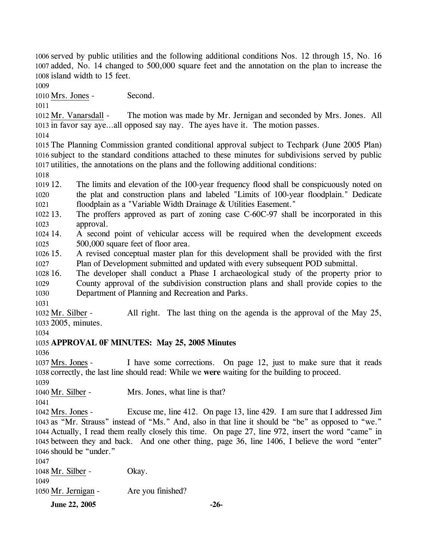1006 served by public utilities and the following additional conditions Nos. 12 through 15, No. 16 1007 added, No. 14 changed to 500,000 square feet and the annotation on the plan to increase the 1008 island width to 15 feet.

1009

1010 Mrs. Jones - Second.

1011

The motion was made by Mr. Jernigan and seconded by Mrs. Jones. All 1013 in favor say aye...all opposed say nay. The ayes have it. The motion passes. 1012 Mr. Vanarsdall -

1014

1015 The Planning Commission granted conditional approval subject to Techpark (June 2005 Plan) 1016 subject to the standard conditions attached to these minutes for subdivisions served by public 1017 utilities, the annotations on the plans and the following additional conditions:

1018

1019 12. 1020 1021 The limits and elevation of the 100-year frequency flood shall be conspicuously noted on the plat and construction plans and labeled "Limits of 100-year floodplain." Dedicate floodplain as a "Variable Width Drainage & Utilities Easement."

1022 13. 1023 The proffers approved as part of zoning case C-60C-97 shall be incorporated in this approval.

1024 14 1025 14. A second point of vehicular access will be required when the development exceeds 500,000 square feet of floor area.

 $1026$  15. 1027 15. A revised conceptual master plan for this development shall be provided with the first Plan of Development submitted and updated with every subsequent POD submittal.

1028 16. 1029 1030 The developer shall conduct a Phase I archaeological study of the property prior to County approval of the subdivision construction plans and shall provide copies to the Department of Planning and Recreation and Parks.

1031

All right. The last thing on the agenda is the approval of the May 25, 2005, minutes. 1033 1032 Mr. Silber -

1034

# 1035 **APPROVAL 0F MINUTES: May 25, 2005 Minutes**

1036

I have some corrections. On page 12, just to make sure that it reads 1038 correctly, the last line should read: While we were waiting for the building to proceed. 1037 Mrs. Jones -1039

1040 Mr. Silber - Mrs. Jones, what line is that?

1041

Excuse me, line 412. On page 13, line 429. I am sure that I addressed Jim 1043 as "Mr. Strauss" instead of "Ms." And, also in that line it should be "be" as opposed to "we." 1044 Actually, I read them really closely this time. On page 27, line 972, insert the word "came" in between they and back. And one other thing, page 36, line 1406, I believe the word "enter" 1045 1046 should be "under." 1042 Mrs. Jones -

1047

| <b>June 22, 2005</b> |                   | $-26-$ |
|----------------------|-------------------|--------|
| 1050 Mr. Jernigan -  | Are you finished? |        |
| 1049                 |                   |        |
| 1048 Mr. Silber -    | Okay.             |        |
|                      |                   |        |